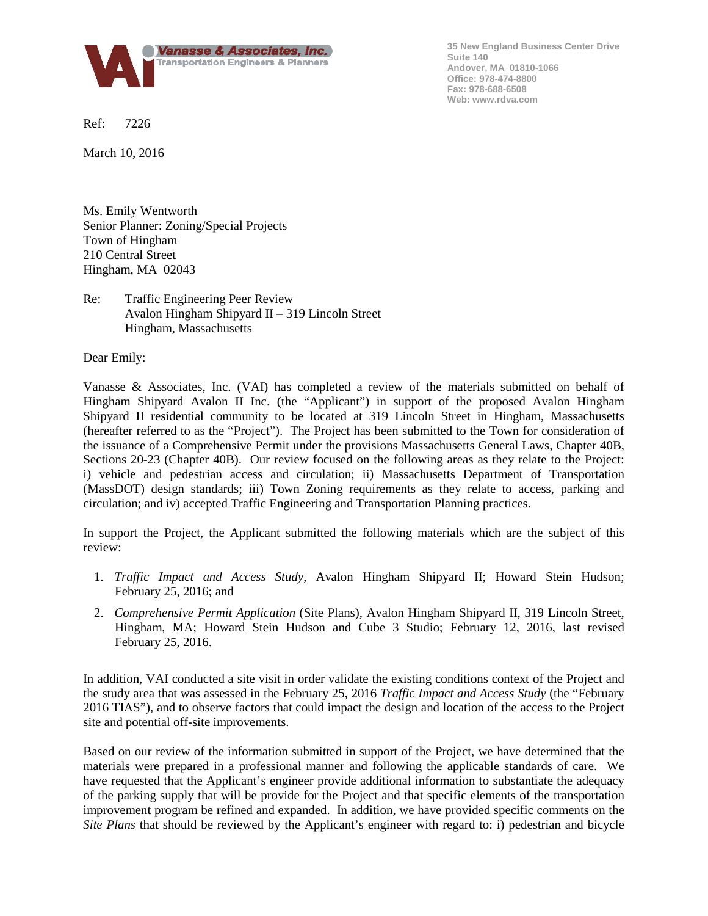

**35 New England Business Center Drive Suite 140 Andover, MA 01810-1066 Office: 978-474-8800 Fax: 978-688-6508 Web: www.rdva.com**

Ref: 7226

March 10, 2016

Ms. Emily Wentworth Senior Planner: Zoning/Special Projects Town of Hingham 210 Central Street Hingham, MA 02043

## Re: Traffic Engineering Peer Review Avalon Hingham Shipyard II – 319 Lincoln Street Hingham, Massachusetts

Dear Emily:

Vanasse & Associates, Inc. (VAI) has completed a review of the materials submitted on behalf of Hingham Shipyard Avalon II Inc. (the "Applicant") in support of the proposed Avalon Hingham Shipyard II residential community to be located at 319 Lincoln Street in Hingham, Massachusetts (hereafter referred to as the "Project"). The Project has been submitted to the Town for consideration of the issuance of a Comprehensive Permit under the provisions Massachusetts General Laws, Chapter 40B, Sections 20-23 (Chapter 40B). Our review focused on the following areas as they relate to the Project: i) vehicle and pedestrian access and circulation; ii) Massachusetts Department of Transportation (MassDOT) design standards; iii) Town Zoning requirements as they relate to access, parking and circulation; and iv) accepted Traffic Engineering and Transportation Planning practices.

In support the Project, the Applicant submitted the following materials which are the subject of this review:

- 1. *Traffic Impact and Access Study*, Avalon Hingham Shipyard II; Howard Stein Hudson; February 25, 2016; and
- 2. *Comprehensive Permit Application* (Site Plans), Avalon Hingham Shipyard II, 319 Lincoln Street, Hingham, MA; Howard Stein Hudson and Cube 3 Studio; February 12, 2016, last revised February 25, 2016.

In addition, VAI conducted a site visit in order validate the existing conditions context of the Project and the study area that was assessed in the February 25, 2016 *Traffic Impact and Access Study* (the "February 2016 TIAS"), and to observe factors that could impact the design and location of the access to the Project site and potential off-site improvements.

Based on our review of the information submitted in support of the Project, we have determined that the materials were prepared in a professional manner and following the applicable standards of care. We have requested that the Applicant's engineer provide additional information to substantiate the adequacy of the parking supply that will be provide for the Project and that specific elements of the transportation improvement program be refined and expanded. In addition, we have provided specific comments on the *Site Plans* that should be reviewed by the Applicant's engineer with regard to: i) pedestrian and bicycle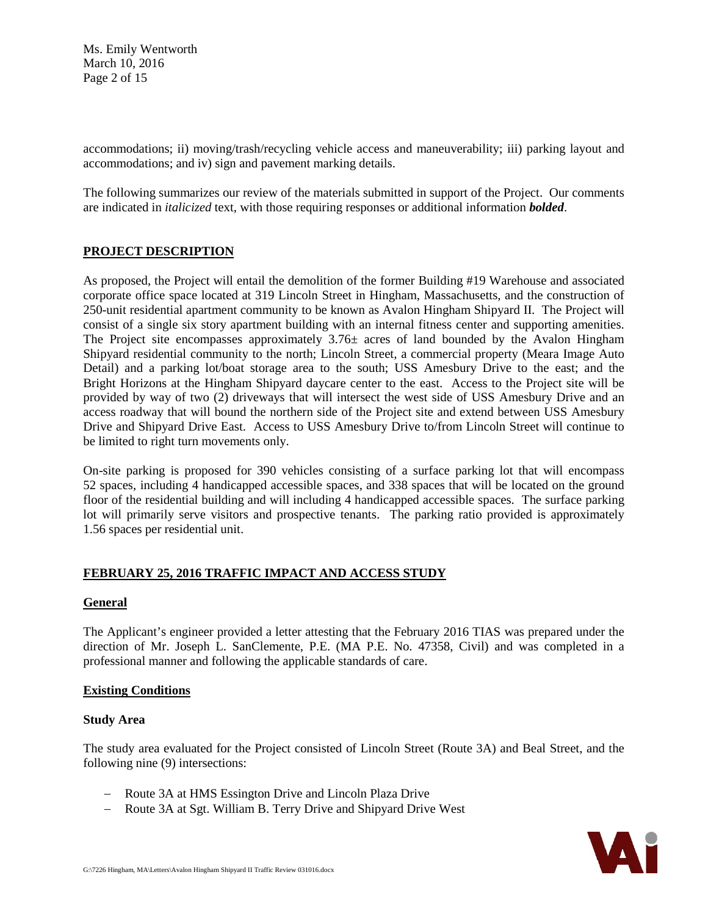Ms. Emily Wentworth March 10, 2016 Page 2 of 15

accommodations; ii) moving/trash/recycling vehicle access and maneuverability; iii) parking layout and accommodations; and iv) sign and pavement marking details.

The following summarizes our review of the materials submitted in support of the Project. Our comments are indicated in *italicized* text, with those requiring responses or additional information *bolded*.

# **PROJECT DESCRIPTION**

As proposed, the Project will entail the demolition of the former Building #19 Warehouse and associated corporate office space located at 319 Lincoln Street in Hingham, Massachusetts, and the construction of 250-unit residential apartment community to be known as Avalon Hingham Shipyard II. The Project will consist of a single six story apartment building with an internal fitness center and supporting amenities. The Project site encompasses approximately  $3.76\pm$  acres of land bounded by the Avalon Hingham Shipyard residential community to the north; Lincoln Street, a commercial property (Meara Image Auto Detail) and a parking lot/boat storage area to the south; USS Amesbury Drive to the east; and the Bright Horizons at the Hingham Shipyard daycare center to the east. Access to the Project site will be provided by way of two (2) driveways that will intersect the west side of USS Amesbury Drive and an access roadway that will bound the northern side of the Project site and extend between USS Amesbury Drive and Shipyard Drive East. Access to USS Amesbury Drive to/from Lincoln Street will continue to be limited to right turn movements only.

On-site parking is proposed for 390 vehicles consisting of a surface parking lot that will encompass 52 spaces, including 4 handicapped accessible spaces, and 338 spaces that will be located on the ground floor of the residential building and will including 4 handicapped accessible spaces. The surface parking lot will primarily serve visitors and prospective tenants. The parking ratio provided is approximately 1.56 spaces per residential unit.

## **FEBRUARY 25, 2016 TRAFFIC IMPACT AND ACCESS STUDY**

#### **General**

The Applicant's engineer provided a letter attesting that the February 2016 TIAS was prepared under the direction of Mr. Joseph L. SanClemente, P.E. (MA P.E. No. 47358, Civil) and was completed in a professional manner and following the applicable standards of care.

## **Existing Conditions**

#### **Study Area**

The study area evaluated for the Project consisted of Lincoln Street (Route 3A) and Beal Street, and the following nine (9) intersections:

- − Route 3A at HMS Essington Drive and Lincoln Plaza Drive
- − Route 3A at Sgt. William B. Terry Drive and Shipyard Drive West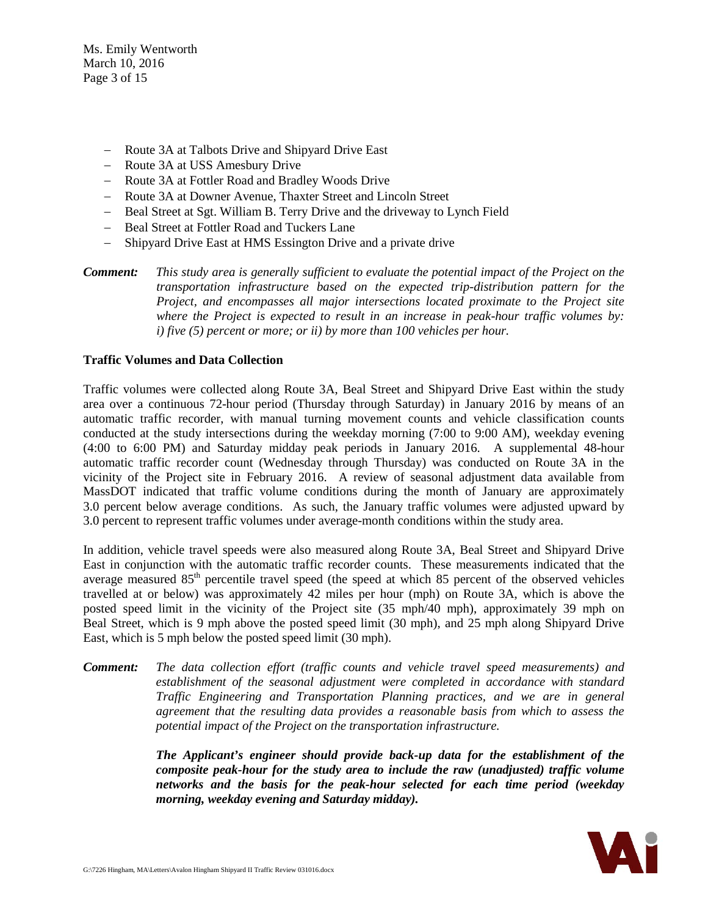Ms. Emily Wentworth March 10, 2016 Page 3 of 15

- − Route 3A at Talbots Drive and Shipyard Drive East
- − Route 3A at USS Amesbury Drive
- − Route 3A at Fottler Road and Bradley Woods Drive
- − Route 3A at Downer Avenue, Thaxter Street and Lincoln Street
- − Beal Street at Sgt. William B. Terry Drive and the driveway to Lynch Field
- − Beal Street at Fottler Road and Tuckers Lane
- − Shipyard Drive East at HMS Essington Drive and a private drive

#### **Traffic Volumes and Data Collection**

Traffic volumes were collected along Route 3A, Beal Street and Shipyard Drive East within the study area over a continuous 72-hour period (Thursday through Saturday) in January 2016 by means of an automatic traffic recorder, with manual turning movement counts and vehicle classification counts conducted at the study intersections during the weekday morning (7:00 to 9:00 AM), weekday evening (4:00 to 6:00 PM) and Saturday midday peak periods in January 2016. A supplemental 48-hour automatic traffic recorder count (Wednesday through Thursday) was conducted on Route 3A in the vicinity of the Project site in February 2016. A review of seasonal adjustment data available from MassDOT indicated that traffic volume conditions during the month of January are approximately 3.0 percent below average conditions. As such, the January traffic volumes were adjusted upward by 3.0 percent to represent traffic volumes under average-month conditions within the study area.

In addition, vehicle travel speeds were also measured along Route 3A, Beal Street and Shipyard Drive East in conjunction with the automatic traffic recorder counts. These measurements indicated that the average measured  $85<sup>th</sup>$  percentile travel speed (the speed at which 85 percent of the observed vehicles travelled at or below) was approximately 42 miles per hour (mph) on Route 3A, which is above the posted speed limit in the vicinity of the Project site (35 mph/40 mph), approximately 39 mph on Beal Street, which is 9 mph above the posted speed limit (30 mph), and 25 mph along Shipyard Drive East, which is 5 mph below the posted speed limit (30 mph).

*Comment: The data collection effort (traffic counts and vehicle travel speed measurements) and establishment of the seasonal adjustment were completed in accordance with standard Traffic Engineering and Transportation Planning practices, and we are in general agreement that the resulting data provides a reasonable basis from which to assess the potential impact of the Project on the transportation infrastructure.*

> *The Applicant's engineer should provide back-up data for the establishment of the composite peak-hour for the study area to include the raw (unadjusted) traffic volume networks and the basis for the peak-hour selected for each time period (weekday morning, weekday evening and Saturday midday).*



*Comment: This study area is generally sufficient to evaluate the potential impact of the Project on the transportation infrastructure based on the expected trip-distribution pattern for the Project, and encompasses all major intersections located proximate to the Project site where the Project is expected to result in an increase in peak-hour traffic volumes by: i) five (5) percent or more; or ii) by more than 100 vehicles per hour.*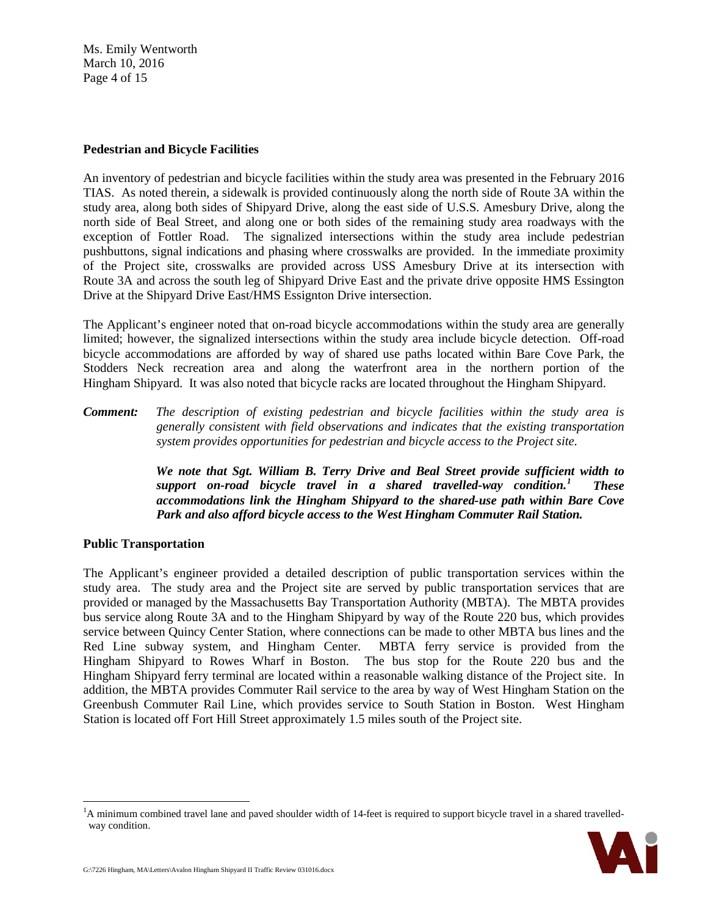Ms. Emily Wentworth March 10, 2016 Page 4 of 15

#### **Pedestrian and Bicycle Facilities**

An inventory of pedestrian and bicycle facilities within the study area was presented in the February 2016 TIAS. As noted therein, a sidewalk is provided continuously along the north side of Route 3A within the study area, along both sides of Shipyard Drive, along the east side of U.S.S. Amesbury Drive, along the north side of Beal Street, and along one or both sides of the remaining study area roadways with the exception of Fottler Road. The signalized intersections within the study area include pedestrian pushbuttons, signal indications and phasing where crosswalks are provided. In the immediate proximity of the Project site, crosswalks are provided across USS Amesbury Drive at its intersection with Route 3A and across the south leg of Shipyard Drive East and the private drive opposite HMS Essington Drive at the Shipyard Drive East/HMS Essignton Drive intersection.

The Applicant's engineer noted that on-road bicycle accommodations within the study area are generally limited; however, the signalized intersections within the study area include bicycle detection. Off-road bicycle accommodations are afforded by way of shared use paths located within Bare Cove Park, the Stodders Neck recreation area and along the waterfront area in the northern portion of the Hingham Shipyard. It was also noted that bicycle racks are located throughout the Hingham Shipyard.

*Comment: The description of existing pedestrian and bicycle facilities within the study area is generally consistent with field observations and indicates that the existing transportation system provides opportunities for pedestrian and bicycle access to the Project site.*

> *We note that Sgt. William B. Terry Drive and Beal Street provide sufficient width to support on-road bicycle travel in a shared travelled-way condition.[1](#page-3-0) These accommodations link the Hingham Shipyard to the shared-use path within Bare Cove Park and also afford bicycle access to the West Hingham Commuter Rail Station.*

## **Public Transportation**

The Applicant's engineer provided a detailed description of public transportation services within the study area. The study area and the Project site are served by public transportation services that are provided or managed by the Massachusetts Bay Transportation Authority (MBTA). The MBTA provides bus service along Route 3A and to the Hingham Shipyard by way of the Route 220 bus, which provides service between Quincy Center Station, where connections can be made to other MBTA bus lines and the Red Line subway system, and Hingham Center. MBTA ferry service is provided from the Hingham Shipyard to Rowes Wharf in Boston. The bus stop for the Route 220 bus and the Hingham Shipyard ferry terminal are located within a reasonable walking distance of the Project site. In addition, the MBTA provides Commuter Rail service to the area by way of West Hingham Station on the Greenbush Commuter Rail Line, which provides service to South Station in Boston. West Hingham Station is located off Fort Hill Street approximately 1.5 miles south of the Project site.

<span id="page-3-0"></span><sup>|&</sup>lt;br>|<br>| <sup>1</sup>A minimum combined travel lane and paved shoulder width of 14-feet is required to support bicycle travel in a shared travelledway condition.

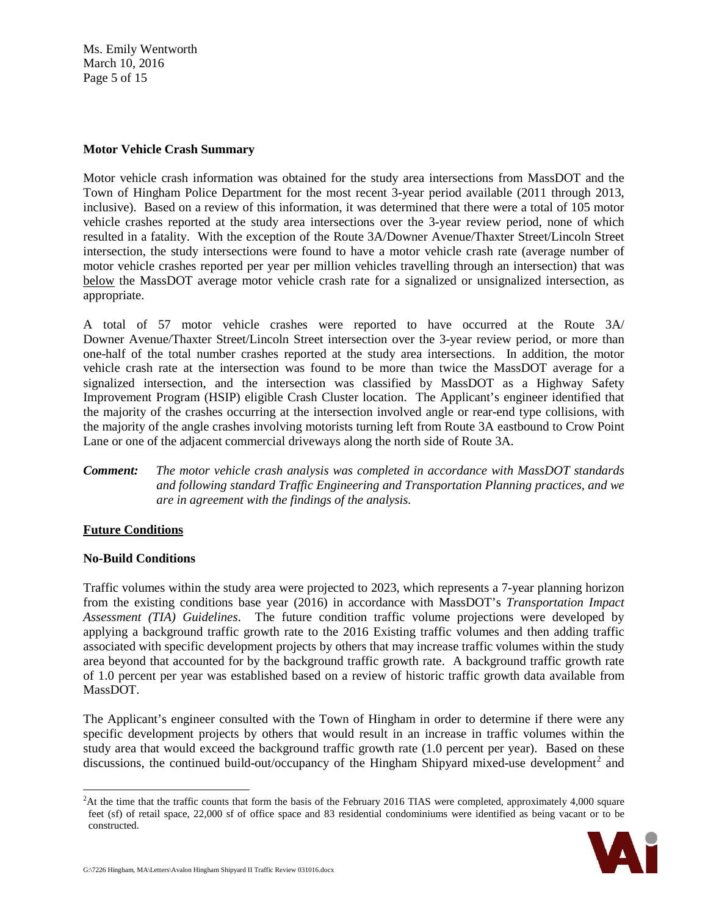Ms. Emily Wentworth March 10, 2016 Page 5 of 15

#### **Motor Vehicle Crash Summary**

Motor vehicle crash information was obtained for the study area intersections from MassDOT and the Town of Hingham Police Department for the most recent 3-year period available (2011 through 2013, inclusive). Based on a review of this information, it was determined that there were a total of 105 motor vehicle crashes reported at the study area intersections over the 3-year review period, none of which resulted in a fatality. With the exception of the Route 3A/Downer Avenue/Thaxter Street/Lincoln Street intersection, the study intersections were found to have a motor vehicle crash rate (average number of motor vehicle crashes reported per year per million vehicles travelling through an intersection) that was below the MassDOT average motor vehicle crash rate for a signalized or unsignalized intersection, as appropriate.

A total of 57 motor vehicle crashes were reported to have occurred at the Route 3A/ Downer Avenue/Thaxter Street/Lincoln Street intersection over the 3-year review period, or more than one-half of the total number crashes reported at the study area intersections. In addition, the motor vehicle crash rate at the intersection was found to be more than twice the MassDOT average for a signalized intersection, and the intersection was classified by MassDOT as a Highway Safety Improvement Program (HSIP) eligible Crash Cluster location. The Applicant's engineer identified that the majority of the crashes occurring at the intersection involved angle or rear-end type collisions, with the majority of the angle crashes involving motorists turning left from Route 3A eastbound to Crow Point Lane or one of the adjacent commercial driveways along the north side of Route 3A.

# *Comment: The motor vehicle crash analysis was completed in accordance with MassDOT standards and following standard Traffic Engineering and Transportation Planning practices, and we are in agreement with the findings of the analysis.*

## **Future Conditions**

## **No-Build Conditions**

Traffic volumes within the study area were projected to 2023, which represents a 7-year planning horizon from the existing conditions base year (2016) in accordance with MassDOT's *Transportation Impact Assessment (TIA) Guidelines*. The future condition traffic volume projections were developed by applying a background traffic growth rate to the 2016 Existing traffic volumes and then adding traffic associated with specific development projects by others that may increase traffic volumes within the study area beyond that accounted for by the background traffic growth rate. A background traffic growth rate of 1.0 percent per year was established based on a review of historic traffic growth data available from MassDOT.

The Applicant's engineer consulted with the Town of Hingham in order to determine if there were any specific development projects by others that would result in an increase in traffic volumes within the study area that would exceed the background traffic growth rate (1.0 percent per year). Based on these discussions, the continued build-out/occupancy of the Hingham Shipyard mixed-use development<sup>[2](#page-4-0)</sup> and

<span id="page-4-0"></span> $\frac{1}{2}$  $A$ <sup>2</sup>At the time that the traffic counts that form the basis of the February 2016 TIAS were completed, approximately 4,000 square feet (sf) of retail space, 22,000 sf of office space and 83 residential condominiums were identified as being vacant or to be constructed.

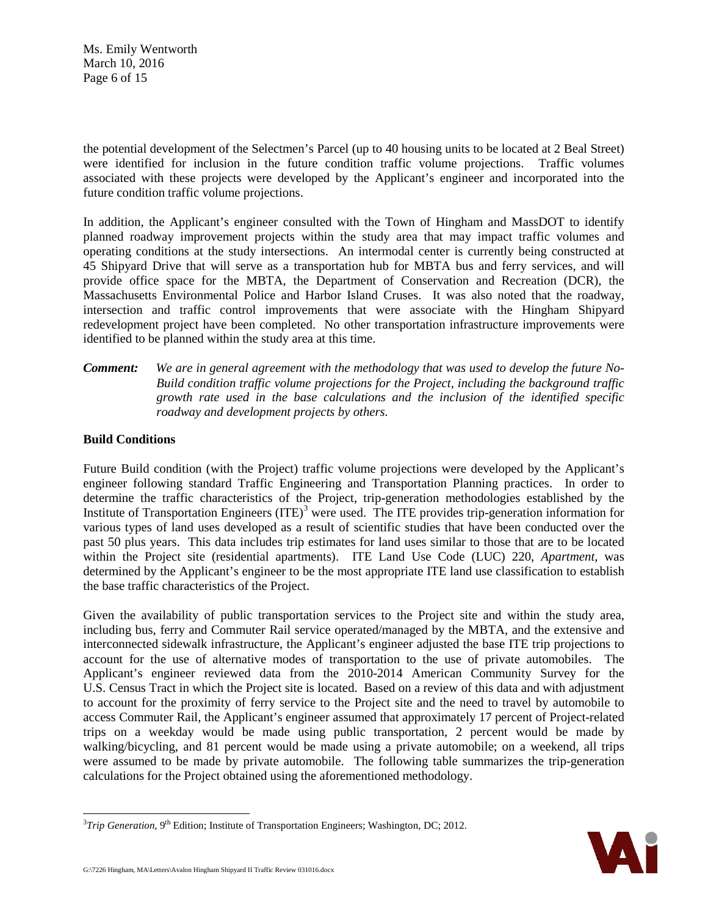Ms. Emily Wentworth March 10, 2016 Page 6 of 15

the potential development of the Selectmen's Parcel (up to 40 housing units to be located at 2 Beal Street) were identified for inclusion in the future condition traffic volume projections. Traffic volumes associated with these projects were developed by the Applicant's engineer and incorporated into the future condition traffic volume projections.

In addition, the Applicant's engineer consulted with the Town of Hingham and MassDOT to identify planned roadway improvement projects within the study area that may impact traffic volumes and operating conditions at the study intersections. An intermodal center is currently being constructed at 45 Shipyard Drive that will serve as a transportation hub for MBTA bus and ferry services, and will provide office space for the MBTA, the Department of Conservation and Recreation (DCR), the Massachusetts Environmental Police and Harbor Island Cruses. It was also noted that the roadway, intersection and traffic control improvements that were associate with the Hingham Shipyard redevelopment project have been completed. No other transportation infrastructure improvements were identified to be planned within the study area at this time.

*Comment: We are in general agreement with the methodology that was used to develop the future No-Build condition traffic volume projections for the Project, including the background traffic growth rate used in the base calculations and the inclusion of the identified specific roadway and development projects by others.*

## **Build Conditions**

Future Build condition (with the Project) traffic volume projections were developed by the Applicant's engineer following standard Traffic Engineering and Transportation Planning practices. In order to determine the traffic characteristics of the Project, trip-generation methodologies established by the Institute of Transportation Engineers  $(ITE)^3$  $(ITE)^3$  were used. The ITE provides trip-generation information for various types of land uses developed as a result of scientific studies that have been conducted over the past 50 plus years. This data includes trip estimates for land uses similar to those that are to be located within the Project site (residential apartments). ITE Land Use Code (LUC) 220, *Apartment*, was determined by the Applicant's engineer to be the most appropriate ITE land use classification to establish the base traffic characteristics of the Project.

Given the availability of public transportation services to the Project site and within the study area, including bus, ferry and Commuter Rail service operated/managed by the MBTA, and the extensive and interconnected sidewalk infrastructure, the Applicant's engineer adjusted the base ITE trip projections to account for the use of alternative modes of transportation to the use of private automobiles. The Applicant's engineer reviewed data from the 2010-2014 American Community Survey for the U.S. Census Tract in which the Project site is located. Based on a review of this data and with adjustment to account for the proximity of ferry service to the Project site and the need to travel by automobile to access Commuter Rail, the Applicant's engineer assumed that approximately 17 percent of Project-related trips on a weekday would be made using public transportation, 2 percent would be made by walking/bicycling, and 81 percent would be made using a private automobile; on a weekend, all trips were assumed to be made by private automobile. The following table summarizes the trip-generation calculations for the Project obtained using the aforementioned methodology.



<span id="page-5-0"></span> <sup>3</sup>  ${}^{3}$ Trip Generation, 9<sup>th</sup> Edition; Institute of Transportation Engineers; Washington, DC; 2012.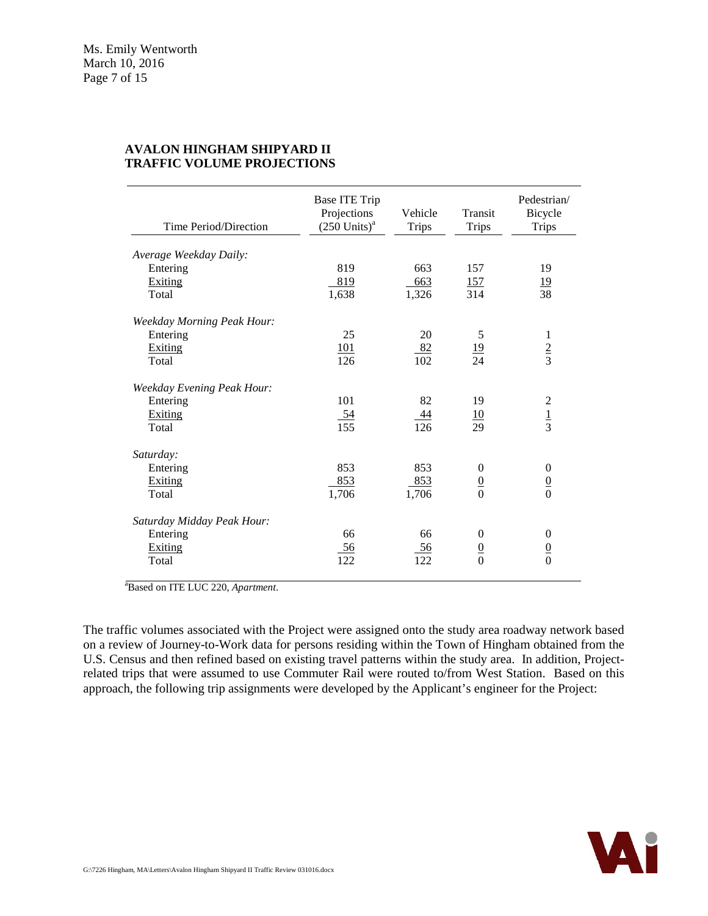| Time Period/Direction             | <b>Base ITE Trip</b><br>Projections<br>$(250$ Units) <sup>a</sup> | Vehicle<br><b>Trips</b> | Transit<br><b>Trips</b> | Pedestrian/<br>Bicycle<br><b>Trips</b> |
|-----------------------------------|-------------------------------------------------------------------|-------------------------|-------------------------|----------------------------------------|
| Average Weekday Daily:            |                                                                   |                         |                         |                                        |
| Entering                          | 819                                                               | 663                     | 157                     | 19                                     |
| Exiting                           | 819                                                               | 663                     | 157                     | <u>19</u>                              |
| Total                             | 1,638                                                             | 1,326                   | 314                     | 38                                     |
| <b>Weekday Morning Peak Hour:</b> |                                                                   |                         |                         |                                        |
| Entering                          | 25                                                                | 20                      | 5                       | $\mathbf{1}$                           |
| Exiting                           | 101                                                               | 82                      | <u>19</u>               |                                        |
| Total                             | 126                                                               | 102                     | 24                      | $\frac{2}{3}$                          |
| <b>Weekday Evening Peak Hour:</b> |                                                                   |                         |                         |                                        |
| Entering                          | 101                                                               | 82                      | 19                      | $\sqrt{2}$                             |
| Exiting                           |                                                                   |                         |                         | $\frac{1}{3}$                          |
| Total                             | $\frac{54}{155}$                                                  | $\frac{44}{126}$        | $\frac{10}{29}$         |                                        |
| Saturday:                         |                                                                   |                         |                         |                                        |
| Entering                          | 853                                                               | 853                     | $\theta$                | $\boldsymbol{0}$                       |
| Exiting                           | 853                                                               | 853                     |                         | $\frac{0}{0}$                          |
| Total                             | 1,706                                                             | 1,706                   | $\frac{0}{0}$           |                                        |
| Saturday Midday Peak Hour:        |                                                                   |                         |                         |                                        |
| Entering                          | 66                                                                | 66                      | $\theta$                | $\theta$                               |
| Exiting                           | 56                                                                | 56                      |                         |                                        |
| Total                             | 122                                                               | 122                     | $\frac{0}{0}$           | $\frac{0}{0}$                          |

#### **AVALON HINGHAM SHIPYARD II TRAFFIC VOLUME PROJECTIONS**

a Based on ITE LUC 220, *Apartment*.

The traffic volumes associated with the Project were assigned onto the study area roadway network based on a review of Journey-to-Work data for persons residing within the Town of Hingham obtained from the U.S. Census and then refined based on existing travel patterns within the study area. In addition, Projectrelated trips that were assumed to use Commuter Rail were routed to/from West Station. Based on this approach, the following trip assignments were developed by the Applicant's engineer for the Project:

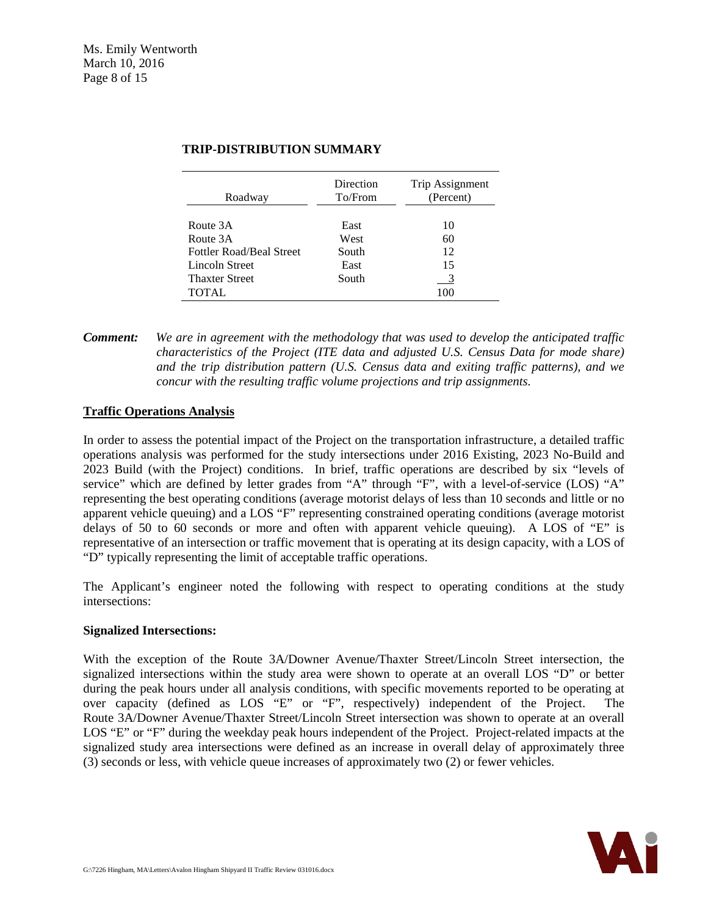| Roadway                         | Direction<br>To/From | Trip Assignment<br>(Percent) |
|---------------------------------|----------------------|------------------------------|
| Route 3A                        | East                 | 10                           |
| Route 3A                        | West                 | 60                           |
| <b>Fottler Road/Beal Street</b> | South                | 12                           |
| Lincoln Street                  | East                 | 15                           |
| <b>Thaxter Street</b>           | South                | -3                           |
| <b>TOTAL</b>                    |                      | 100                          |

# **TRIP-DISTRIBUTION SUMMARY**

*Comment: We are in agreement with the methodology that was used to develop the anticipated traffic characteristics of the Project (ITE data and adjusted U.S. Census Data for mode share) and the trip distribution pattern (U.S. Census data and exiting traffic patterns), and we concur with the resulting traffic volume projections and trip assignments.*

## **Traffic Operations Analysis**

In order to assess the potential impact of the Project on the transportation infrastructure, a detailed traffic operations analysis was performed for the study intersections under 2016 Existing, 2023 No-Build and 2023 Build (with the Project) conditions. In brief, traffic operations are described by six "levels of service" which are defined by letter grades from "A" through "F", with a level-of-service (LOS) "A" representing the best operating conditions (average motorist delays of less than 10 seconds and little or no apparent vehicle queuing) and a LOS "F" representing constrained operating conditions (average motorist delays of 50 to 60 seconds or more and often with apparent vehicle queuing). A LOS of "E" is representative of an intersection or traffic movement that is operating at its design capacity, with a LOS of "D" typically representing the limit of acceptable traffic operations.

The Applicant's engineer noted the following with respect to operating conditions at the study intersections:

## **Signalized Intersections:**

With the exception of the Route 3A/Downer Avenue/Thaxter Street/Lincoln Street intersection, the signalized intersections within the study area were shown to operate at an overall LOS "D" or better during the peak hours under all analysis conditions, with specific movements reported to be operating at over capacity (defined as LOS "E" or "F", respectively) independent of the Project. The Route 3A/Downer Avenue/Thaxter Street/Lincoln Street intersection was shown to operate at an overall LOS "E" or "F" during the weekday peak hours independent of the Project. Project-related impacts at the signalized study area intersections were defined as an increase in overall delay of approximately three (3) seconds or less, with vehicle queue increases of approximately two (2) or fewer vehicles.

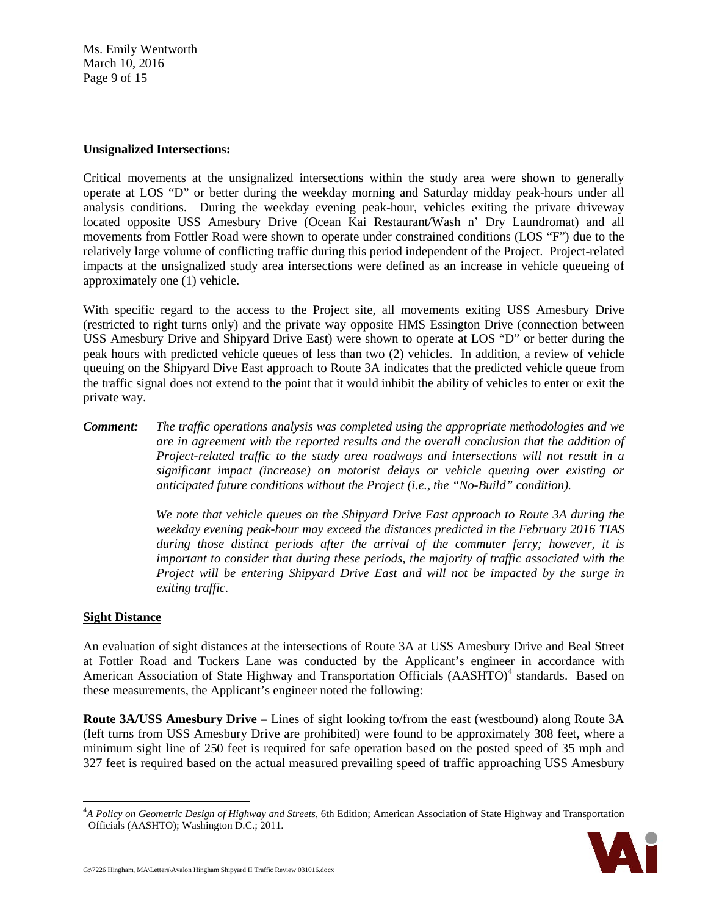Ms. Emily Wentworth March 10, 2016 Page 9 of 15

#### **Unsignalized Intersections:**

Critical movements at the unsignalized intersections within the study area were shown to generally operate at LOS "D" or better during the weekday morning and Saturday midday peak-hours under all analysis conditions. During the weekday evening peak-hour, vehicles exiting the private driveway located opposite USS Amesbury Drive (Ocean Kai Restaurant/Wash n' Dry Laundromat) and all movements from Fottler Road were shown to operate under constrained conditions (LOS "F") due to the relatively large volume of conflicting traffic during this period independent of the Project. Project-related impacts at the unsignalized study area intersections were defined as an increase in vehicle queueing of approximately one (1) vehicle.

With specific regard to the access to the Project site, all movements exiting USS Amesbury Drive (restricted to right turns only) and the private way opposite HMS Essington Drive (connection between USS Amesbury Drive and Shipyard Drive East) were shown to operate at LOS "D" or better during the peak hours with predicted vehicle queues of less than two (2) vehicles. In addition, a review of vehicle queuing on the Shipyard Dive East approach to Route 3A indicates that the predicted vehicle queue from the traffic signal does not extend to the point that it would inhibit the ability of vehicles to enter or exit the private way.

*Comment: The traffic operations analysis was completed using the appropriate methodologies and we are in agreement with the reported results and the overall conclusion that the addition of Project-related traffic to the study area roadways and intersections will not result in a significant impact (increase) on motorist delays or vehicle queuing over existing or anticipated future conditions without the Project (i.e., the "No-Build" condition).*

> *We note that vehicle queues on the Shipyard Drive East approach to Route 3A during the weekday evening peak-hour may exceed the distances predicted in the February 2016 TIAS during those distinct periods after the arrival of the commuter ferry; however, it is important to consider that during these periods, the majority of traffic associated with the Project will be entering Shipyard Drive East and will not be impacted by the surge in exiting traffic.*

## **Sight Distance**

An evaluation of sight distances at the intersections of Route 3A at USS Amesbury Drive and Beal Street at Fottler Road and Tuckers Lane was conducted by the Applicant's engineer in accordance with American Association of State Highway and Transportation Officials  $(AASHTO)^4$  $(AASHTO)^4$  standards. Based on these measurements, the Applicant's engineer noted the following:

**Route 3A/USS Amesbury Drive** – Lines of sight looking to/from the east (westbound) along Route 3A (left turns from USS Amesbury Drive are prohibited) were found to be approximately 308 feet, where a minimum sight line of 250 feet is required for safe operation based on the posted speed of 35 mph and 327 feet is required based on the actual measured prevailing speed of traffic approaching USS Amesbury

<span id="page-8-0"></span> $\frac{1}{4}$ *A Policy on Geometric Design of Highway and Streets,* 6th Edition; American Association of State Highway and Transportation Officials (AASHTO); Washington D.C.; 2011.

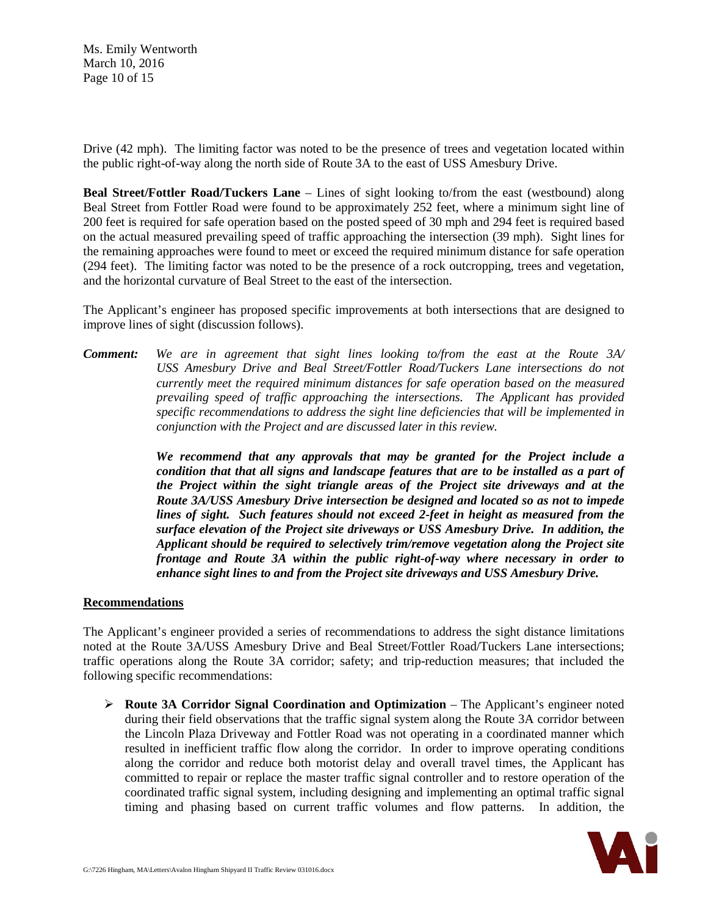Ms. Emily Wentworth March 10, 2016 Page 10 of 15

Drive (42 mph). The limiting factor was noted to be the presence of trees and vegetation located within the public right-of-way along the north side of Route 3A to the east of USS Amesbury Drive.

**Beal Street/Fottler Road/Tuckers Lane** – Lines of sight looking to/from the east (westbound) along Beal Street from Fottler Road were found to be approximately 252 feet, where a minimum sight line of 200 feet is required for safe operation based on the posted speed of 30 mph and 294 feet is required based on the actual measured prevailing speed of traffic approaching the intersection (39 mph). Sight lines for the remaining approaches were found to meet or exceed the required minimum distance for safe operation (294 feet). The limiting factor was noted to be the presence of a rock outcropping, trees and vegetation, and the horizontal curvature of Beal Street to the east of the intersection.

The Applicant's engineer has proposed specific improvements at both intersections that are designed to improve lines of sight (discussion follows).

*Comment: We are in agreement that sight lines looking to/from the east at the Route 3A/ USS Amesbury Drive and Beal Street/Fottler Road/Tuckers Lane intersections do not currently meet the required minimum distances for safe operation based on the measured prevailing speed of traffic approaching the intersections. The Applicant has provided specific recommendations to address the sight line deficiencies that will be implemented in conjunction with the Project and are discussed later in this review.*

> *We recommend that any approvals that may be granted for the Project include a condition that that all signs and landscape features that are to be installed as a part of the Project within the sight triangle areas of the Project site driveways and at the Route 3A/USS Amesbury Drive intersection be designed and located so as not to impede lines of sight. Such features should not exceed 2-feet in height as measured from the surface elevation of the Project site driveways or USS Amesbury Drive. In addition, the Applicant should be required to selectively trim/remove vegetation along the Project site frontage and Route 3A within the public right-of-way where necessary in order to enhance sight lines to and from the Project site driveways and USS Amesbury Drive.*

#### **Recommendations**

The Applicant's engineer provided a series of recommendations to address the sight distance limitations noted at the Route 3A/USS Amesbury Drive and Beal Street/Fottler Road/Tuckers Lane intersections; traffic operations along the Route 3A corridor; safety; and trip-reduction measures; that included the following specific recommendations:

 **Route 3A Corridor Signal Coordination and Optimization** – The Applicant's engineer noted during their field observations that the traffic signal system along the Route 3A corridor between the Lincoln Plaza Driveway and Fottler Road was not operating in a coordinated manner which resulted in inefficient traffic flow along the corridor. In order to improve operating conditions along the corridor and reduce both motorist delay and overall travel times, the Applicant has committed to repair or replace the master traffic signal controller and to restore operation of the coordinated traffic signal system, including designing and implementing an optimal traffic signal timing and phasing based on current traffic volumes and flow patterns. In addition, the

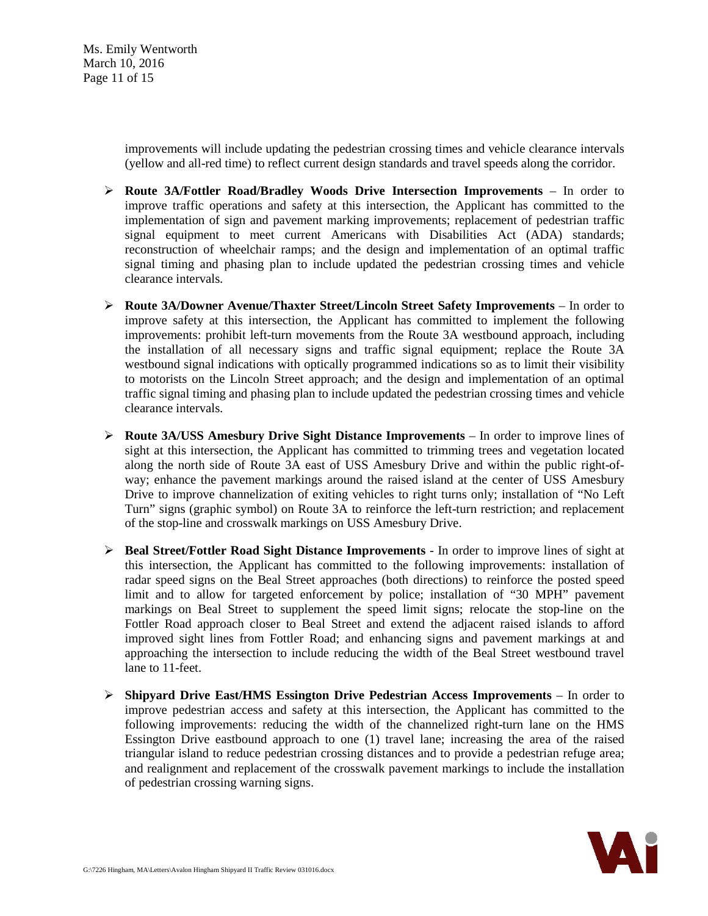Ms. Emily Wentworth March 10, 2016 Page 11 of 15

> improvements will include updating the pedestrian crossing times and vehicle clearance intervals (yellow and all-red time) to reflect current design standards and travel speeds along the corridor.

- **Route 3A/Fottler Road/Bradley Woods Drive Intersection Improvements** In order to improve traffic operations and safety at this intersection, the Applicant has committed to the implementation of sign and pavement marking improvements; replacement of pedestrian traffic signal equipment to meet current Americans with Disabilities Act (ADA) standards; reconstruction of wheelchair ramps; and the design and implementation of an optimal traffic signal timing and phasing plan to include updated the pedestrian crossing times and vehicle clearance intervals.
- **Route 3A/Downer Avenue/Thaxter Street/Lincoln Street Safety Improvements** In order to improve safety at this intersection, the Applicant has committed to implement the following improvements: prohibit left-turn movements from the Route 3A westbound approach, including the installation of all necessary signs and traffic signal equipment; replace the Route 3A westbound signal indications with optically programmed indications so as to limit their visibility to motorists on the Lincoln Street approach; and the design and implementation of an optimal traffic signal timing and phasing plan to include updated the pedestrian crossing times and vehicle clearance intervals.
- **Route 3A/USS Amesbury Drive Sight Distance Improvements** In order to improve lines of sight at this intersection, the Applicant has committed to trimming trees and vegetation located along the north side of Route 3A east of USS Amesbury Drive and within the public right-ofway; enhance the pavement markings around the raised island at the center of USS Amesbury Drive to improve channelization of exiting vehicles to right turns only; installation of "No Left Turn" signs (graphic symbol) on Route 3A to reinforce the left-turn restriction; and replacement of the stop-line and crosswalk markings on USS Amesbury Drive.
- **Beal Street/Fottler Road Sight Distance Improvements** In order to improve lines of sight at this intersection, the Applicant has committed to the following improvements: installation of radar speed signs on the Beal Street approaches (both directions) to reinforce the posted speed limit and to allow for targeted enforcement by police; installation of "30 MPH" pavement markings on Beal Street to supplement the speed limit signs; relocate the stop-line on the Fottler Road approach closer to Beal Street and extend the adjacent raised islands to afford improved sight lines from Fottler Road; and enhancing signs and pavement markings at and approaching the intersection to include reducing the width of the Beal Street westbound travel lane to 11-feet.
- **Shipyard Drive East/HMS Essington Drive Pedestrian Access Improvements** In order to improve pedestrian access and safety at this intersection, the Applicant has committed to the following improvements: reducing the width of the channelized right-turn lane on the HMS Essington Drive eastbound approach to one (1) travel lane; increasing the area of the raised triangular island to reduce pedestrian crossing distances and to provide a pedestrian refuge area; and realignment and replacement of the crosswalk pavement markings to include the installation of pedestrian crossing warning signs.

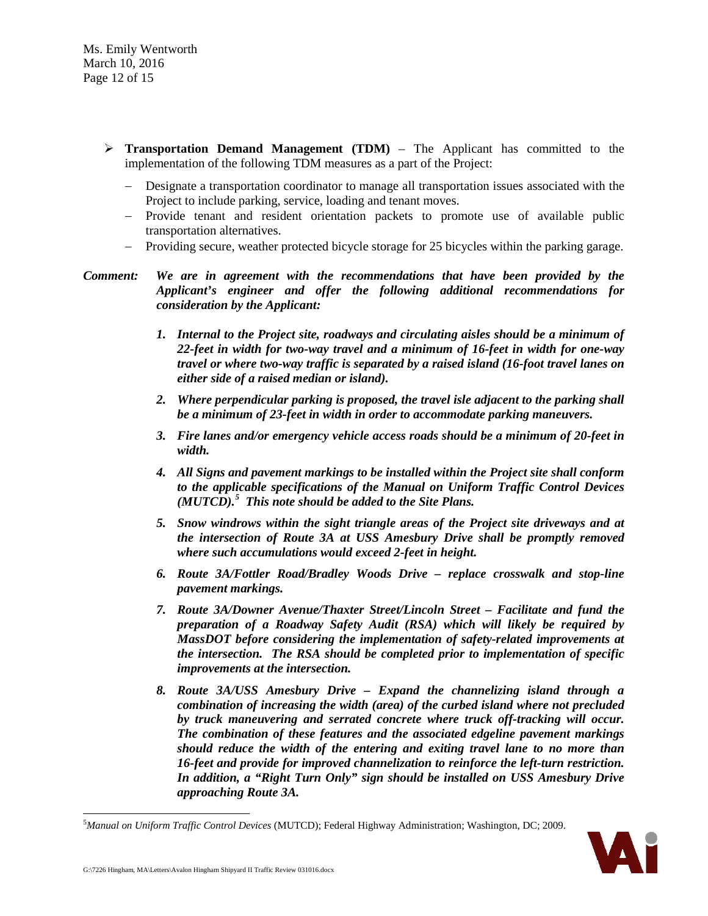- **Transportation Demand Management (TDM)** The Applicant has committed to the implementation of the following TDM measures as a part of the Project:
	- − Designate a transportation coordinator to manage all transportation issues associated with the Project to include parking, service, loading and tenant moves.
	- − Provide tenant and resident orientation packets to promote use of available public transportation alternatives.
	- − Providing secure, weather protected bicycle storage for 25 bicycles within the parking garage.
- *Comment: We are in agreement with the recommendations that have been provided by the Applicant's engineer and offer the following additional recommendations for consideration by the Applicant:*
	- *1. Internal to the Project site, roadways and circulating aisles should be a minimum of 22-feet in width for two-way travel and a minimum of 16-feet in width for one-way travel or where two-way traffic is separated by a raised island (16-foot travel lanes on either side of a raised median or island).*
	- *2. Where perpendicular parking is proposed, the travel isle adjacent to the parking shall be a minimum of 23-feet in width in order to accommodate parking maneuvers.*
	- *3. Fire lanes and/or emergency vehicle access roads should be a minimum of 20-feet in width.*
	- *4. All Signs and pavement markings to be installed within the Project site shall conform to the applicable specifications of the Manual on Uniform Traffic Control Devices (MUTCD).[5](#page-11-0) This note should be added to the Site Plans.*
	- *5. Snow windrows within the sight triangle areas of the Project site driveways and at the intersection of Route 3A at USS Amesbury Drive shall be promptly removed where such accumulations would exceed 2-feet in height.*
	- *6. Route 3A/Fottler Road/Bradley Woods Drive – replace crosswalk and stop-line pavement markings.*
	- *7. Route 3A/Downer Avenue/Thaxter Street/Lincoln Street – Facilitate and fund the preparation of a Roadway Safety Audit (RSA) which will likely be required by MassDOT before considering the implementation of safety-related improvements at the intersection. The RSA should be completed prior to implementation of specific improvements at the intersection.*
	- *8. Route 3A/USS Amesbury Drive – Expand the channelizing island through a combination of increasing the width (area) of the curbed island where not precluded by truck maneuvering and serrated concrete where truck off-tracking will occur. The combination of these features and the associated edgeline pavement markings should reduce the width of the entering and exiting travel lane to no more than 16-feet and provide for improved channelization to reinforce the left-turn restriction. In addition, a "Right Turn Only" sign should be installed on USS Amesbury Drive approaching Route 3A.*

<span id="page-11-0"></span> <sup>5</sup> *Manual on Uniform Traffic Control Devices* (MUTCD); Federal Highway Administration; Washington, DC; 2009.

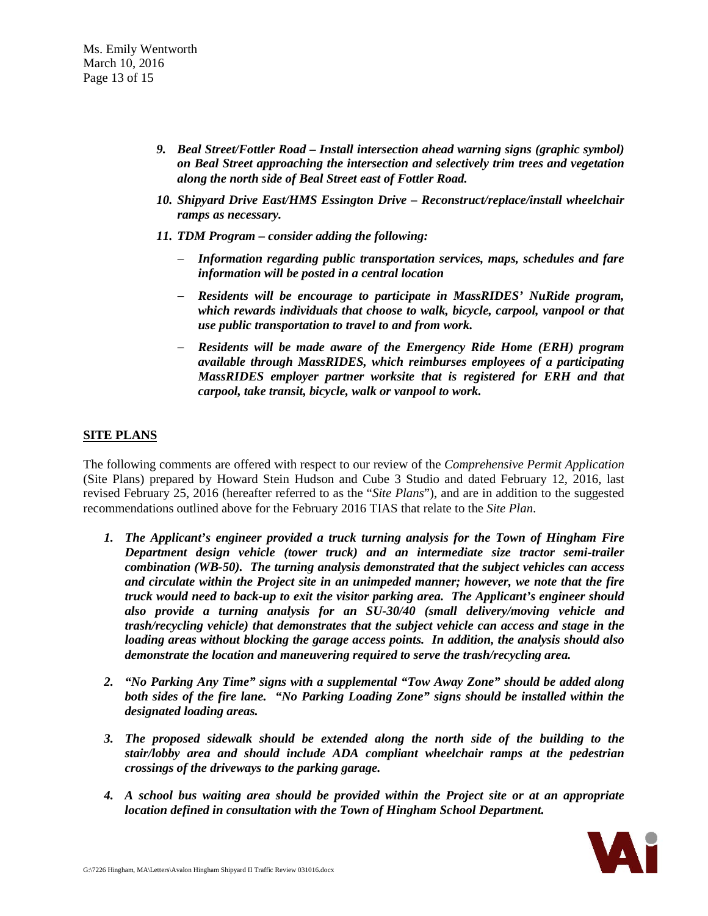- *9. Beal Street/Fottler Road – Install intersection ahead warning signs (graphic symbol) on Beal Street approaching the intersection and selectively trim trees and vegetation along the north side of Beal Street east of Fottler Road.*
- *10. Shipyard Drive East/HMS Essington Drive – Reconstruct/replace/install wheelchair ramps as necessary.*
- *11. TDM Program – consider adding the following:*
	- − *Information regarding public transportation services, maps, schedules and fare information will be posted in a central location*
	- − *Residents will be encourage to participate in MassRIDES' NuRide program, which rewards individuals that choose to walk, bicycle, carpool, vanpool or that use public transportation to travel to and from work.*
	- − *Residents will be made aware of the Emergency Ride Home (ERH) program available through MassRIDES, which reimburses employees of a participating MassRIDES employer partner worksite that is registered for ERH and that carpool, take transit, bicycle, walk or vanpool to work.*

# **SITE PLANS**

The following comments are offered with respect to our review of the *Comprehensive Permit Application* (Site Plans) prepared by Howard Stein Hudson and Cube 3 Studio and dated February 12, 2016, last revised February 25, 2016 (hereafter referred to as the "*Site Plans*"), and are in addition to the suggested recommendations outlined above for the February 2016 TIAS that relate to the *Site Plan*.

- *1. The Applicant's engineer provided a truck turning analysis for the Town of Hingham Fire Department design vehicle (tower truck) and an intermediate size tractor semi-trailer combination (WB-50). The turning analysis demonstrated that the subject vehicles can access and circulate within the Project site in an unimpeded manner; however, we note that the fire truck would need to back-up to exit the visitor parking area. The Applicant's engineer should also provide a turning analysis for an SU-30/40 (small delivery/moving vehicle and trash/recycling vehicle) that demonstrates that the subject vehicle can access and stage in the loading areas without blocking the garage access points. In addition, the analysis should also demonstrate the location and maneuvering required to serve the trash/recycling area.*
- *2. "No Parking Any Time" signs with a supplemental "Tow Away Zone" should be added along both sides of the fire lane. "No Parking Loading Zone" signs should be installed within the designated loading areas.*
- *3. The proposed sidewalk should be extended along the north side of the building to the stair/lobby area and should include ADA compliant wheelchair ramps at the pedestrian crossings of the driveways to the parking garage.*
- *4. A school bus waiting area should be provided within the Project site or at an appropriate location defined in consultation with the Town of Hingham School Department.*

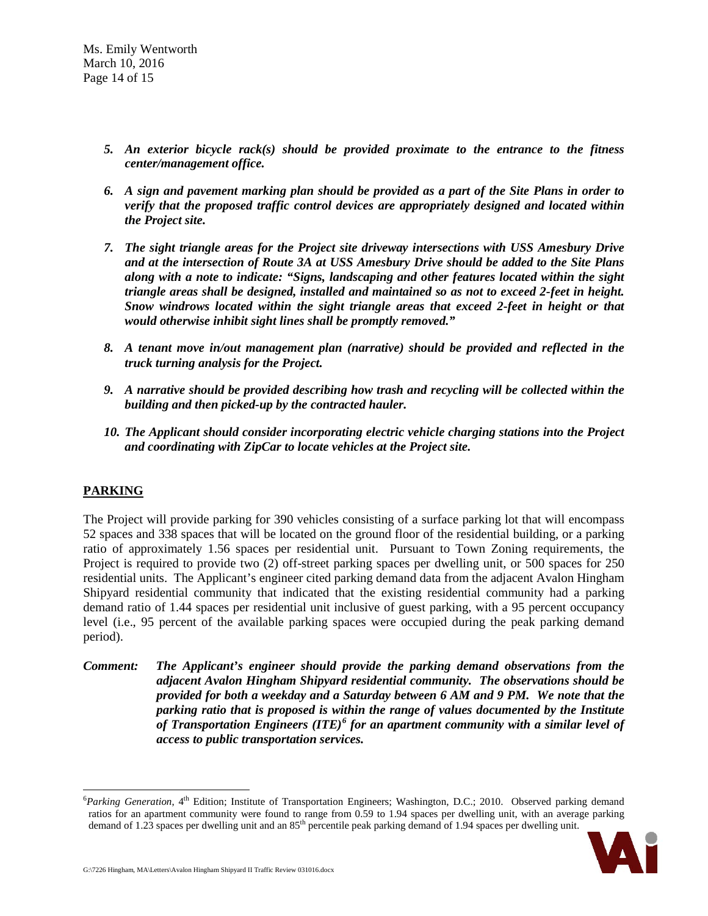- *5. An exterior bicycle rack(s) should be provided proximate to the entrance to the fitness center/management office.*
- *6. A sign and pavement marking plan should be provided as a part of the Site Plans in order to verify that the proposed traffic control devices are appropriately designed and located within the Project site.*
- *7. The sight triangle areas for the Project site driveway intersections with USS Amesbury Drive and at the intersection of Route 3A at USS Amesbury Drive should be added to the Site Plans along with a note to indicate: "Signs, landscaping and other features located within the sight triangle areas shall be designed, installed and maintained so as not to exceed 2-feet in height. Snow windrows located within the sight triangle areas that exceed 2-feet in height or that would otherwise inhibit sight lines shall be promptly removed."*
- *8. A tenant move in/out management plan (narrative) should be provided and reflected in the truck turning analysis for the Project.*
- *9. A narrative should be provided describing how trash and recycling will be collected within the building and then picked-up by the contracted hauler.*
- *10. The Applicant should consider incorporating electric vehicle charging stations into the Project and coordinating with ZipCar to locate vehicles at the Project site.*

# **PARKING**

The Project will provide parking for 390 vehicles consisting of a surface parking lot that will encompass 52 spaces and 338 spaces that will be located on the ground floor of the residential building, or a parking ratio of approximately 1.56 spaces per residential unit. Pursuant to Town Zoning requirements, the Project is required to provide two (2) off-street parking spaces per dwelling unit, or 500 spaces for 250 residential units. The Applicant's engineer cited parking demand data from the adjacent Avalon Hingham Shipyard residential community that indicated that the existing residential community had a parking demand ratio of 1.44 spaces per residential unit inclusive of guest parking, with a 95 percent occupancy level (i.e., 95 percent of the available parking spaces were occupied during the peak parking demand period).

*Comment: The Applicant's engineer should provide the parking demand observations from the adjacent Avalon Hingham Shipyard residential community. The observations should be provided for both a weekday and a Saturday between 6 AM and 9 PM. We note that the parking ratio that is proposed is within the range of values documented by the Institute of Transportation Engineers (ITE)[6](#page-13-0) for an apartment community with a similar level of access to public transportation services.*

<span id="page-13-0"></span> <sup>6</sup> <sup>6</sup>Parking Generation, 4<sup>th</sup> Edition; Institute of Transportation Engineers; Washington, D.C.; 2010. Observed parking demand ratios for an apartment community were found to range from 0.59 to 1.94 spaces per dwelling unit, with an average parking demand of 1.23 spaces per dwelling unit and an 85<sup>th</sup> percentile peak parking demand of 1.94 spaces per dwelling unit.